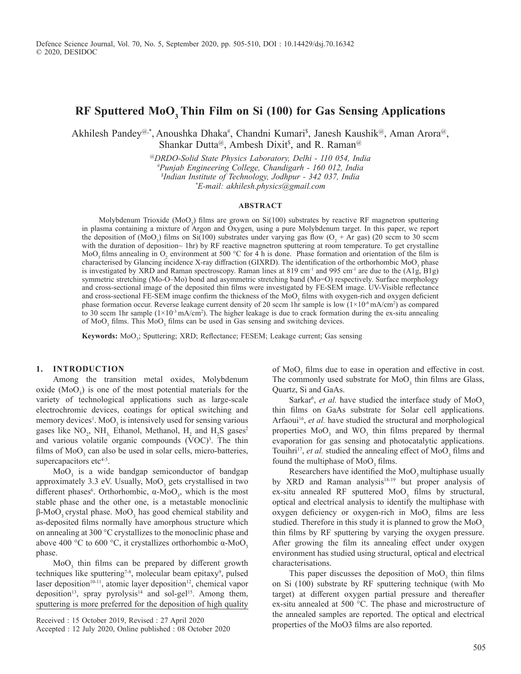# **RF Sputtered MoO3 Thin Film on Si (100) for Gas Sensing Applications**

Akhilesh Pandey<sup>@,\*</sup>, Anoushka Dhaka<sup>#</sup>, Chandni Kumari<sup>s</sup>, Janesh Kaushik<sup>@</sup>, Aman Arora<sup>@</sup>, Shankar Dutta@, Ambesh Dixit<sup>\$</sup>, and R. Raman<sup>@</sup>

> *@DRDO-Solid State Physics Laboratory, Delhi - 110 054, India #Punjab Engineering College, Chandigarh - 160 012, India \$ Indian Institute of Technology, Jodhpur - 342 037, India \*E-mail: akhilesh.physics@gmail.com*

#### **AbSTRAcT**

Molybdenum Trioxide (MoO<sub>3</sub>) films are grown on  $Si(100)$  substrates by reactive RF magnetron sputtering in plasma containing a mixture of Argon and Oxygen, using a pure Molybdenum target. In this paper, we report the deposition of (MoO<sub>3</sub>) films on Si(100) substrates under varying gas flow (O<sub>2</sub> + Ar gas) (20 sccm to 30 sccm with the duration of deposition~ 1hr) by RF reactive magnetron sputtering at room temperature. To get crystalline MoO<sub>3</sub> films annealing in O<sub>2</sub> environment at 500 °C for 4 h is done. Phase formation and orientation of the film is characterised by Glancing incidence X-ray diffraction (GIXRD). The identification of the orthorhombic  $MoO<sub>3</sub>$  phase is investigated by XRD and Raman spectroscopy. Raman lines at 819 cm<sup>-1</sup> and 995 cm<sup>-1</sup> are due to the (A1g, B1g) symmetric stretching (Mo-O–Mo) bond and asymmetric stretching band (Mo=O) respectively. Surface morphology and cross-sectional image of the deposited thin films were investigated by FE-SEM image. UV-Visible reflectance and cross-sectional FE-SEM image confirm the thickness of the MoO<sub>3</sub> films with oxygen-rich and oxygen deficient phase formation occur. Reverse leakage current density of 20 sccm 1hr sample is low  $(1\times10^{-6} \text{ mA/cm}^2)$  as compared to 30 sccm 1hr sample  $(1\times10^{-3} \text{ mA/cm}^2)$ . The higher leakage is due to crack formation during the ex-situ annealing of  $MoO<sub>3</sub>$  films. This  $MoO<sub>3</sub>$  films can be used in Gas sensing and switching devices.

Keywords: MoO<sub>3</sub>; Sputtering; XRD; Reflectance; FESEM; Leakage current; Gas sensing

## **1. InTROducTIOn**

Among the transition metal oxides, Molybdenum oxide  $(MoO<sub>3</sub>)$  is one of the most potential materials for the variety of technological applications such as large-scale electrochromic devices, coatings for optical switching and memory devices<sup>1</sup>. MoO<sub>3</sub> is intensively used for sensing various gases like  $NO_2$ ,  $NH_3$ , Ethanol, Methanol,  $H_2$  and  $H_2S$  gases<sup>2</sup> and various volatile organic compounds (VOC)<sup>3</sup>. The thin films of  $MoO<sub>3</sub>$  can also be used in solar cells, micro-batteries, supercapacitors etc4-5.

 $MoO<sub>3</sub>$  is a wide bandgap semiconductor of bandgap approximately 3.3 eV. Usually,  $MoO<sub>3</sub>$  gets crystallised in two different phases<sup>6</sup>. Orthorhombic,  $\alpha$ -MoO<sub>3</sub>, which is the most stable phase and the other one, is a metastable monoclinic β-MoO<sub>3</sub> crystal phase. MoO<sub>3</sub> has good chemical stability and as-deposited films normally have amorphous structure which on annealing at 300 °C crystallizes to the monoclinic phase and above 400 °C to 600 °C, it crystallizes orthorhombic α-MoO<sub>3</sub> phase.

 $MoO<sub>3</sub>$  thin films can be prepared by different growth techniques like sputtering<sup>7-8</sup>, molecular beam epitaxy<sup>9</sup>, pulsed laser deposition<sup>10-11</sup>, atomic layer deposition<sup>12</sup>, chemical vapor deposition<sup>13</sup>, spray pyrolysis<sup>14</sup> and sol-gel<sup>15</sup>. Among them, sputtering is more preferred for the deposition of high quality

Received : 15 October 2019, Revised : 27 April 2020

of  $MoO<sub>3</sub>$  films due to ease in operation and effective in cost. The commonly used substrate for  $MoO<sub>3</sub>$  thin films are Glass, Quartz, Si and GaAs.

Sarkar<sup>6</sup>, *et al.* have studied the interface study of  $MoO<sub>3</sub>$ thin films on GaAs substrate for Solar cell applications. Arfaoui<sup>16</sup>, et al. have studied the structural and morphological properties  $MoO<sub>3</sub>$  and  $WO<sub>3</sub>$  thin films prepared by thermal evaporation for gas sensing and photocatalytic applications. Touihri<sup>17</sup>, *et al.* studied the annealing effect of  $MoO<sub>3</sub>$  films and found the multiphase of  $MoO<sub>3</sub>$  films.

Researchers have identified the MoO<sub>2</sub> multiphase usually by XRD and Raman analysis<sup>18-19</sup> but proper analysis of ex-situ annealed RF sputtered  $MoO<sub>3</sub>$  films by structural, optical and electrical analysis to identify the multiphase with oxygen deficiency or oxygen-rich in  $MoO<sub>3</sub>$  films are less studied. Therefore in this study it is planned to grow the  $MoO<sub>3</sub>$ thin films by RF sputtering by varying the oxygen pressure. After growing the film its annealing effect under oxygen environment has studied using structural, optical and electrical characterisations.

This paper discusses the deposition of  $MoO<sub>3</sub>$  thin films on Si (100) substrate by RF sputtering technique (with Mo target) at different oxygen partial pressure and thereafter ex-situ annealed at 500 °C. The phase and microstructure of the annealed samples are reported. The optical and electrical properties of the MoO3 films are also reported.

Accepted : 12 July 2020, Online published : 08 October 2020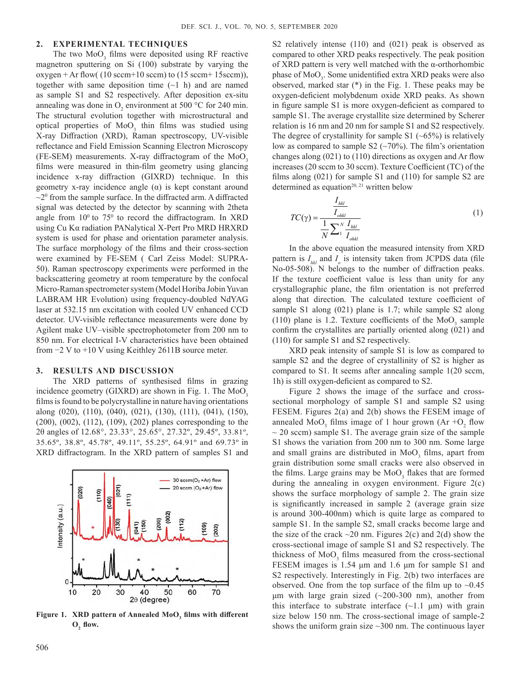### **2. ExpERIMEnTAl TEchnIquES**

The two  $MoO<sub>3</sub>$  films were deposited using RF reactive magnetron sputtering on Si (100) substrate by varying the  $oxygen + Ar flow( (10 secm+10 secm) to (15 secm+15 secm)),$ together with same deposition time  $(-1)$  h) and are named as sample S1 and S2 respectively. After deposition ex-situ annealing was done in  $O_2$  environment at 500 °C for 240 min. The structural evolution together with microstructural and optical properties of  $MoO<sub>3</sub>$  thin films was studied using X-ray Diffraction (XRD), Raman spectroscopy, UV-visible reflectance and Field Emission Scanning Electron Microscopy (FE-SEM) measurements. X-ray diffractogram of the  $MoO<sub>3</sub>$ films were measured in thin-film geometry using glancing incidence x-ray diffraction (GIXRD) technique. In this geometry x-ray incidence angle (α) is kept constant around  $\sim$ 2<sup>0</sup> from the sample surface. In the diffracted arm. A diffracted signal was detected by the detector by scanning with 2theta angle from  $10^{\circ}$  to  $75^{\circ}$  to record the diffractogram. In XRD using Cu Kα radiation PANalytical X-Pert Pro MRD HRXRD system is used for phase and orientation parameter analysis. The surface morphology of the films and their cross-section were examined by FE-SEM ( Carl Zeiss Model: SUPRA-50). Raman spectroscopy experiments were performed in the backscattering geometry at room temperature by the confocal Micro-Raman spectrometer system (Model Horiba Jobin Yuvan LABRAM HR Evolution) using frequency-doubled NdYAG laser at 532.15 nm excitation with cooled UV enhanced CCD detector. UV-visible reflectance measurements were done by Agilent make UV–visible spectrophotometer from 200 nm to 850 nm. For electrical I-V characteristics have been obtained from −2 V to +10 V using Keithley 2611B source meter.

#### **3. RESulTS And dIScuSSIOn**

The XRD patterns of synthesised films in grazing incidence geometry (GIXRD) are shown in Fig. 1. The  $MoO<sub>3</sub>$ films is found to be polycrystalline in nature having orientations along (020), (110), (040), (021), (130), (111), (041), (150), (200), (002), (112), (109), (202) planes corresponding to the 2θ angles of 12.68°, 23.33°, 25.65°, 27.32º, 29.45º, 33.81º, 35.65º, 38.8º, 45.78º, 49.11º, 55.25º, 64.91º and 69.73º in XRD diffractogram. In the XRD pattern of samples S1 and



**Figure 1. xRd pattern of Annealed MoO<sup>3</sup> films with different**   $O_2$  flow.

compared to other XRD peaks respectively. The peak position of XRD pattern is very well matched with the α-orthorhombic phase of MoO<sub>3</sub>. Some unidentified extra XRD peaks were also observed, marked star (\*) in the Fig. 1. These peaks may be oxygen-deficient molybdenum oxide XRD peaks. As shown in figure sample S1 is more oxygen-deficient as compared to sample S1. The average crystallite size determined by Scherer relation is 16 nm and 20 nm for sample S1 and S2 respectively. The degree of crystallinity for sample S1  $(-65%)$  is relatively low as compared to sample S2  $(\sim 70\%)$ . The film's orientation changes along (021) to (110) directions as oxygen and Ar flow increases (20 sccm to 30 sccm). Texture Coefficient (TC) of the films along (021) for sample S1 and (110) for sample S2 are determined as equation<sup>20, 21</sup> written below *hkl I*

S2 relatively intense (110) and (021) peak is observed as

$$
TC(\gamma) = \frac{\frac{I_{hkl}}{I_{ohkl}}}{\frac{1}{N} \sum_{1}^{N} \frac{I_{hkl}}{I_{ohkl}}}
$$
(1)

In the above equation the measured intensity from XRD pattern is  $I_{hkl}$  and  $I_o$  is intensity taken from JCPDS data (file No-05-508). N belongs to the number of diffraction peaks. If the texture coefficient value is less than unity for any crystallographic plane, the film orientation is not preferred along that direction. The calculated texture coefficient of sample S1 along (021) plane is 1.7; while sample S2 along (110) plane is 1.2. Texture coefficients of the  $MoO<sub>3</sub>$  sample confirm the crystallites are partially oriented along (021) and (110) for sample S1 and S2 respectively.

XRD peak intensity of sample S1 is low as compared to sample S2 and the degree of crystallinity of S2 is higher as compared to S1. It seems after annealing sample 1(20 sccm, 1h) is still oxygen-deficient as compared to S2.

Figure 2 shows the image of the surface and crosssectional morphology of sample S1 and sample S2 using FESEM. Figures 2(a) and 2(b) shows the FESEM image of annealed  $MoO_3$  films image of 1 hour grown (Ar + $O_2$  flow  $\sim$  20 sccm) sample S1. The average grain size of the sample S1 shows the variation from 200 nm to 300 nm. Some large and small grains are distributed in  $MoO<sub>3</sub>$  films, apart from grain distribution some small cracks were also observed in the films. Large grains may be  $MoO<sub>3</sub>$  flakes that are formed during the annealing in oxygen environment. Figure 2(c) shows the surface morphology of sample 2. The grain size is significantly increased in sample 2 (average grain size is around 300-400nm) which is quite large as compared to sample S1. In the sample S2, small cracks become large and the size of the crack  $\sim$ 20 nm. Figures 2(c) and 2(d) show the cross-sectional image of sample S1 and S2 respectively. The thickness of  $MoO<sub>3</sub>$  films measured from the cross-sectional FESEM images is 1.54 μm and 1.6 μm for sample S1 and S2 respectively. Interestingly in Fig. 2(b) two interfaces are observed. One from the top surface of the film up to  $\sim 0.45$  $\mu$ m with large grain sized (~200-300 nm), another from this interface to substrate interface  $(\sim 1.1 \mu m)$  with grain size below 150 nm. The cross-sectional image of sample-2 shows the uniform grain size  $\sim$ 300 nm. The continuous layer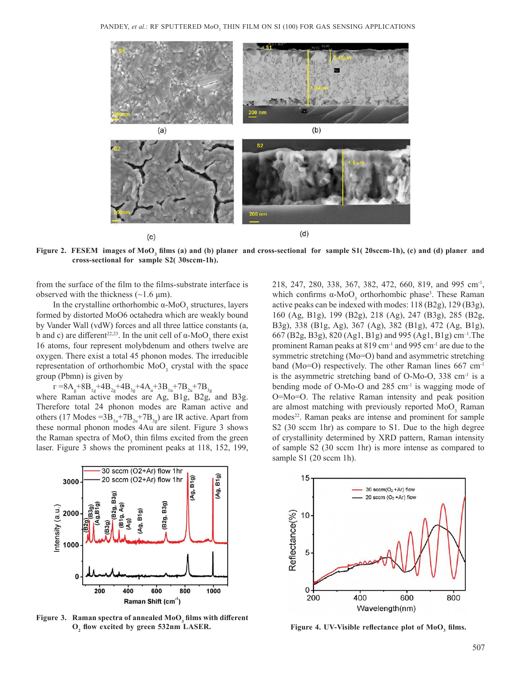

Figure 2. FESEM images of MoO<sub>3</sub> films (a) and (b) planer and cross-sectional for sample S1( 20sccm-1h), (c) and (d) planer and **cross-sectional for sample S2( 30sccm-1h).**

from the surface of the film to the films-substrate interface is observed with the thickness  $(\sim 1.6 \,\mu m)$ .

In the crystalline orthorhombic  $\alpha$ -MoO<sub>3</sub> structures, layers formed by distorted MoO6 octahedra which are weakly bound by Vander Wall (vdW) forces and all three lattice constants (a, b and c) are different<sup>22,23</sup>. In the unit cell of  $\alpha$ -MoO<sub>3</sub> there exist 16 atoms, four represent molybdenum and others twelve are oxygen. There exist a total 45 phonon modes. The irreducible representation of orthorhombic  $MoO<sub>3</sub>$  crystal with the space group (Pbmn) is given by

 $_{\text{r}}$  =8 $\text{A}_{\text{g}}$ +8 $\text{B}_{1\text{g}}$ +4 $\text{B}_{2\text{g}}$ +4 $\text{B}_{3\text{g}}$ +4 $\text{A}_{\text{u}}$ +3 $\text{B}_{1\text{u}}$ +7 $\text{B}_{2\text{u}}$ +7 $\text{B}_{3\text{g}}$ where Raman active modes are Ag, B1g, B2g, and B3g. Therefore total 24 phonon modes are Raman active and others (17 Modes = $3B_{1u} + 7B_{2u} + 7B_{3g}$ ) are IR active. Apart from these normal phonon modes 4Au are silent. Figure 3 shows the Raman spectra of  $MoO<sub>3</sub>$  thin films excited from the green laser. Figure 3 shows the prominent peaks at 118, 152, 199,



**Figure 3. Raman spectra of annealed MoO<sup>3</sup> films with different**  O<sub>2</sub> flow excited by green 532nm LASER. flow excited by green 532nm LASER. **Figure 4. UV-Visible reflectance plot of MoO<sub>3</sub> films.** 

218, 247, 280, 338, 367, 382, 472, 660, 819, and 995 cm<sup>-1</sup>, which confirms  $\alpha$ -MoO<sub>3</sub> orthorhombic phase<sup>3</sup>. These Raman active peaks can be indexed with modes: 118 (B2g), 129 (B3g), 160 (Ag, B1g), 199 (B2g), 218 (Ag), 247 (B3g), 285 (B2g, B3g), 338 (B1g, Ag), 367 (Ag), 382 (B1g), 472 (Ag, B1g), 667 (B2g, B3g), 820 (Ag1, B1g) and 995 (Ag1, B1g) cm–1.The prominent Raman peaks at 819 cm-1 and 995 cm-1 are due to the symmetric stretching (Mo=O) band and asymmetric stretching band (Mo=O) respectively. The other Raman lines  $667 \text{ cm}^{-1}$ is the asymmetric stretching band of O-Mo-O, 338 cm<sup>-1</sup> is a bending mode of O-Mo-O and 285 cm<sup>-1</sup> is wagging mode of O=Mo=O. The relative Raman intensity and peak position are almost matching with previously reported  $MoO<sub>3</sub>$  Raman modes<sup>22</sup>. Raman peaks are intense and prominent for sample S2 (30 sccm 1hr) as compare to S1. Due to the high degree of crystallinity determined by XRD pattern, Raman intensity of sample S2 (30 sccm 1hr) is more intense as compared to sample S1 (20 sccm 1h).

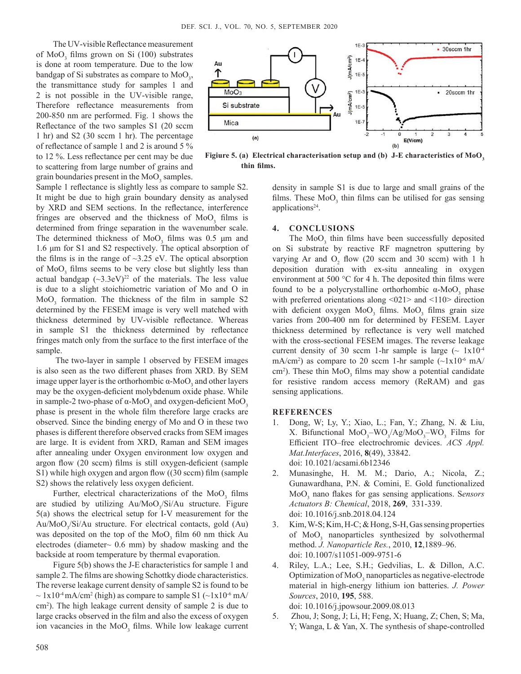The UV-visible Reflectance measurement of MoO<sub>3</sub> films grown on Si (100) substrates is done at room temperature. Due to the low bandgap of Si substrates as compare to  $MoO<sub>3</sub>$ , the transmittance study for samples 1 and 2 is not possible in the UV-visible range, Therefore reflectance measurements from 200-850 nm are performed. Fig. 1 shows the Reflectance of the two samples S1 (20 sccm 1 hr) and S2 (30 sccm 1 hr). The percentage of reflectance of sample 1 and 2 is around 5 % to 12 %. Less reflectance per cent may be due to scattering from large number of grains and grain boundaries present in the  $\text{MoO}_3$  samples.



**Figiure 5. (a) Electrical characterisation setup and (b) J-E characteristics of MoO<sup>3</sup> thin films.**

Sample 1 reflectance is slightly less as compare to sample S2. It might be due to high grain boundary density as analysed by XRD and SEM sections. In the reflectance, interference fringes are observed and the thickness of  $MoO<sub>3</sub>$  films is determined from fringe separation in the wavenumber scale. The determined thickness of  $MoO<sub>3</sub>$  films was 0.5  $\mu$ m and 1.6 μm for S1 and S2 respectively. The optical absorption of the films is in the range of  $\sim$ 3.25 eV. The optical absorption of  $\text{MoO}_3$  films seems to be very close but slightly less than actual bandgap  $(\sim 3.3 \text{eV})^{22}$  of the materials. The less value is due to a slight stoichiometric variation of Mo and O in  $MoO<sub>3</sub>$  formation. The thickness of the film in sample S2 determined by the FESEM image is very well matched with thickness determined by UV-visible reflectance. Whereas in sample S1 the thickness determined by reflectance fringes match only from the surface to the first interface of the sample.

 The two-layer in sample 1 observed by FESEM images is also seen as the two different phases from XRD. By SEM image upper layer is the orthorhombic  $\alpha$ -MoO<sub>3</sub> and other layers may be the oxygen-deficient molybdenum oxide phase. While in sample-2 two-phase of  $\alpha$ -MoO<sub>3</sub> and oxygen-deficient MoO<sub>3</sub> phase is present in the whole film therefore large cracks are observed. Since the binding energy of Mo and O in these two phases is different therefore observed cracks from SEM images are large. It is evident from XRD, Raman and SEM images after annealing under Oxygen environment low oxygen and argon flow (20 sccm) films is still oxygen-deficient (sample S1) while high oxygen and argon flow ((30 sccm) film (sample S2) shows the relatively less oxygen deficient.

Further, electrical characterizations of the  $MoO<sub>3</sub>$  films are studied by utilizing Au/MoO<sub>3</sub>/Si/Au structure. Figure 5(a) shows the electrical setup for I-V measurement for the Au/MoO<sub>3</sub>/Si/Au structure. For electrical contacts, gold (Au) was deposited on the top of the  $MoO<sub>3</sub>$  film 60 nm thick Au electrodes (diameter $\sim$  0.6 mm) by shadow masking and the backside at room temperature by thermal evaporation.

Figure 5(b) shows the J-E characteristics for sample 1 and sample 2. The films are showing Schottky diode characteristics. The reverse leakage current density of sample S2 is found to be  $\sim$  1x10<sup>-4</sup> mA/cm<sup>2</sup> (high) as compare to sample S1 ( $\sim$ 1x10<sup>-6</sup> mA/ cm<sup>2</sup> ). The high leakage current density of sample 2 is due to large cracks observed in the film and also the excess of oxygen ion vacancies in the MoO<sub>3</sub> films. While low leakage current density in sample S1 is due to large and small grains of the films. These  $MoO<sub>3</sub>$  thin films can be utilised for gas sensing applications<sup>24</sup>.

#### **4. cOncluSIOnS**

The  $MoO<sub>3</sub>$  thin films have been successfully deposited on Si substrate by reactive RF magnetron sputtering by varying Ar and  $O_2$  flow (20 sccm and 30 sccm) with 1 h deposition duration with ex-situ annealing in oxygen environment at 500 °C for 4 h. The deposited thin films were found to be a polycrystalline orthorhombic  $α$ -MoO<sub>3</sub> phase with preferred orientations along <021> and <110> direction with deficient oxygen  $MoO<sub>3</sub>$  films.  $MoO<sub>3</sub>$  films grain size varies from 200-400 nm for determined by FESEM. Layer thickness determined by reflectance is very well matched with the cross-sectional FESEM images. The reverse leakage current density of 30 sccm 1-hr sample is large  $($   $\sim 1x10^{-4}$ mA/cm<sup>2</sup>) as compare to 20 sccm 1-hr sample  $(\sim 1 \times 10^{-6} \text{ mA})$ cm<sup>2</sup>). These thin  $MoO<sub>3</sub>$  films may show a potential candidate for resistive random access memory (ReRAM) and gas sensing applications.

### **REFEREncES**

- 1. Dong, W; Ly, Y.; Xiao, L.; Fan, Y.; Zhang, N. & Liu, X. Bifunctional  $MoO<sub>3</sub> – WO<sub>3</sub>/Ag/MoO<sub>3</sub> – WO<sub>3</sub>$  Films for Efficient ITO–free electrochromic devices. *ACS Appl. Mat.Interfaces*, 2016, **8**(49), 33842. doi: 10.1021/acsami.6b12346
- 2. Munasinghe, H. M. M.; Dario, A.; Nicola, Z.; Gunawardhana, P.N. & Comini, E. Gold functionalized MoO<sup>3</sup> nano flakes for gas sensing applications. S*ensors Actuators B: Chemical*, 2018, **269**, 331-339. doi: 10.1016/j.snb.2018.04.124
- 3. Kim, W-S; Kim, H-C; & Hong, S-H, Gas sensing properties of  $MoO<sub>3</sub>$  nanoparticles synthesized by solvothermal method. *J. Nanoparticle Res.*, 2010, **12**,1889–96. doi: 10.1007/s11051-009-9751-6
- 4. Riley, L.A.; Lee, S.H.; Gedvilias, L. & Dillon, A.C. Optimization of MoO<sub>3</sub> nanoparticles as negative-electrode material in high-energy lithium ion batteries. *J. Power Sources*, 2010, **195**, 588. doi: 10.1016/j.jpowsour.2009.08.013
- 5. Zhou, J; Song, J; Li, H; Feng, X; Huang, Z; Chen, S; Ma, Y; Wanga, L & Yan, X. The synthesis of shape-controlled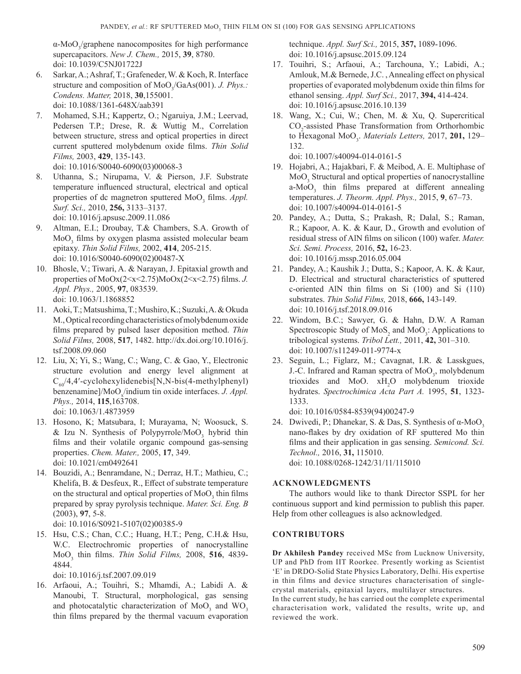α-MoO<sub>3</sub>/graphene nanocomposites for high performance supercapacitors. *New J. Chem.,* 2015, **39**, 8780. doi: 10.1039/C5NJ01722J

- 6. Sarkar, A.; Ashraf, T.; Grafeneder, W. & Koch, R. Interface structure and composition of MoO<sub>3</sub>/GaAs(001). *J. Phys.*: *Condens. Matter,* 2018, **30**,155001. doi: 10.1088/1361-648X/aab391
- 7. Mohamed, S.H.; Kappertz, O.; Ngaruiya, J.M.; Leervad, Pedersen T.P.; Drese, R. & Wuttig M., Correlation between structure, stress and optical properties in direct current sputtered molybdenum oxide films. *Thin Solid Films,* 2003, **429**, 135-143. doi: 10.1016/S0040-6090(03)00068-3
- 8. Uthanna, S.; Nirupama, V. & Pierson, J.F. Substrate temperature influenced structural, electrical and optical properties of dc magnetron sputtered MoO<sub>3</sub> films. *Appl*. *Surf. Sci.,* 2010, **256,** 3133–3137. doi: 10.1016/j.apsusc.2009.11.086
- 9. Altman, E.I.; Droubay, T.& Chambers, S.A. Growth of  $\text{MoO}_3$  films by oxygen plasma assisted molecular beam epitaxy. *Thin Solid Films,* 2002, **414**, 205-215. doi: 10.1016/S0040-6090(02)00487-X
- 10. Bhosle, V.; Tiwari, A. & Narayan, J. Epitaxial growth and properties of MoOx(2<x<2.75)MoOx(2<x<2.75) films. *J. Appl. Phys.,* 2005, **97**, 083539. doi: 10.1063/1.1868852
- 11. Aoki, T.; Matsushima, T.; Mushiro, K.; Suzuki, A. & Okuda M., Optical recording characteristics of molybdenum oxide films prepared by pulsed laser deposition method. *Thin Solid Films,* 2008, **517**, 1482. http://dx.doi.org/10.1016/j. tsf.2008.09.060
- 12. Liu, X; Yi, S.; Wang, C.; Wang, C. & Gao, Y., Electronic structure evolution and energy level alignment at  $C_{60}/4,4'$ -cyclohexylidenebis[N,N-bis(4-methylphenyl) benzenamine]/MoO<sub>x</sub>/indium tin oxide interfaces. *J. Appl. Phys.,* 2014, **115**,163708. doi: 10.1063/1.4873959
- 13. Hosono, K; Matsubara, I; Murayama, N; Woosuck, S. & Izu N. Synthesis of Polypyrrole/MoO<sub>3</sub> hybrid thin films and their volatile organic compound gas-sensing properties. *Chem. Mater.,* 2005, **17**, 349. doi: 10.1021/cm0492641
- 14. Bouzidi, A.; Benramdane, N.; Derraz, H.T.; Mathieu, C.; Khelifa, B. & Desfeux, R., Effect of substrate temperature on the structural and optical properties of  $\mathrm{MoO}_{3}$  thin films prepared by spray pyrolysis technique. *Mater. Sci. Eng. B*  (2003), **97**, 5-8. doi: 10.1016/S0921-5107(02)00385-9
- 15. Hsu, C.S.; Chan, C.C.; Huang, H.T.; Peng, C.H.& Hsu, W.C. Electrochromic properties of nanocrystalline MoO<sup>3</sup> thin films. *Thin Solid Films,* 2008, **516**, 4839- 4844.

doi: 10.1016/j.tsf.2007.09.019

16. Arfaoui, A.; Touihri, S.; Mhamdi, A.; Labidi A. & Manoubi, T. Structural, morphological, gas sensing and photocatalytic characterization of  $Mo_{3}$  and  $WO_{3}$ thin films prepared by the thermal vacuum evaporation technique. *Appl. Surf Sci.,* 2015, **357,** 1089-1096. doi: 10.1016/j.apsusc.2015.09.124

- 17. Touihri, S.; Arfaoui, A.; Tarchouna, Y.; Labidi, A.; Amlouk, M.& Bernede, J.C. , Annealing effect on physical properties of evaporated molybdenum oxide thin films for ethanol sensing. *Appl. Surf Sci.,* 2017, **394,** 414-424. doi: 10.1016/j.apsusc.2016.10.139
- 18. Wang, X.; Cui, W.; Chen, M. & Xu, Q. Supercritical  $CO<sub>2</sub>$ -assisted Phase Transformation from Orthorhombic to Hexagonal MoO<sup>3</sup> . *Materials Letters,* 2017, **201,** 129– 132.

doi: 10.1007/s40094-014-0161-5

- 19. Hojabri, A.; Hajakbari, F. & Meibod, A. E. Multiphase of MoO<sub>3</sub> Structural and optical properties of nanocrystalline  $a-MoO<sub>3</sub>$  thin films prepared at different annealing temperatures. *J. Theorm. Appl. Phys.,* 2015, **9**, 67–73. doi: 10.1007/s40094-014-0161-5
- 20. Pandey, A.; Dutta, S.; Prakash, R; Dalal, S.; Raman, R.; Kapoor, A. K. & Kaur, D., Growth and evolution of residual stress of AlN films on silicon (100) wafer. *Mater. Sci. Semi. Process,* 2016, **52,** 16-23. doi: 10.1016/j.mssp.2016.05.004
- 21. Pandey, A.; Kaushik J.; Dutta, S.; Kapoor, A. K. & Kaur, D. Electrical and structural characteristics of sputtered c-oriented AlN thin films on Si (100) and Si (110) substrates. *Thin Solid Films,* 2018, **666,** 143-149. doi: 10.1016/j.tsf.2018.09.016
- 22. Windom, B.C.; Sawyer, G. & Hahn, D.W. A Raman Spectroscopic Study of  $MoS_2$  and  $MoO_3$ : Applications to tribological systems. *Tribol Lett.,* 2011, **42,** 301–310. doi: 10.1007/s11249-011-9774-x
- 23. Seguin, L.; Figlarz, M.; Cavagnat, I.R. & Lasskgues, J.-C. Infrared and Raman spectra of MoO<sub>3</sub>, molybdenum trioxides and MoO. xH<sub>2</sub>O molybdenum trioxide hydrates. *Spectrochimica Acta Part A.* 1995, **51**, 1323- 1333.

doi: 10.1016/0584-8539(94)00247-9

24. Dwivedi, P.; Dhanekar, S. & Das, S. Synthesis of  $\alpha$ -MoO<sub>2</sub> nano-flakes by dry oxidation of RF sputtered Mo thin films and their application in gas sensing. *Semicond. Sci. Technol.,* 2016, **31,** 115010.

doi: 10.1088/0268-1242/31/11/115010

# **AcKnOwlEdGMEnTS**

The authors would like to thank Director SSPL for her continuous support and kind permission to publish this paper. Help from other colleagues is also acknowledged.

# **cOnTRIbuTORS**

**dr Akhilesh pandey** received MSc from Lucknow University, UP and PhD from IIT Roorkee. Presently working as Scientist 'E' in DRDO-Solid State Physics Laboratory, Delhi. His expertise in thin films and device structures characterisation of singlecrystal materials, epitaxial layers, multilayer structures.

In the current study, he has carried out the complete experimental characterisation work, validated the results, write up, and reviewed the work.